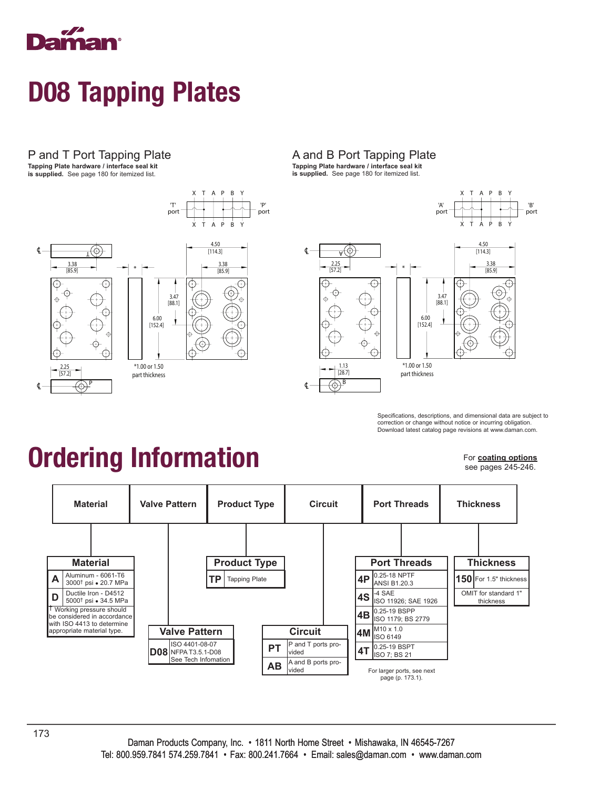

P and T Port Tapping Plate

**Tapping Plate hardware / interface seal kit is supplied.** See page 180 for itemized list.



#### A and B Port Tapping Plate **Tapping Plate hardware / interface seal kit is supplied.** See page 180 for itemized list.



Specifications, descriptions, and dimensional data are subject to correction or change without notice or incurring obligation. Download latest catalog page revisions at www.daman.com.

# Ordering Information

For **coating options**

see pages 245-246.

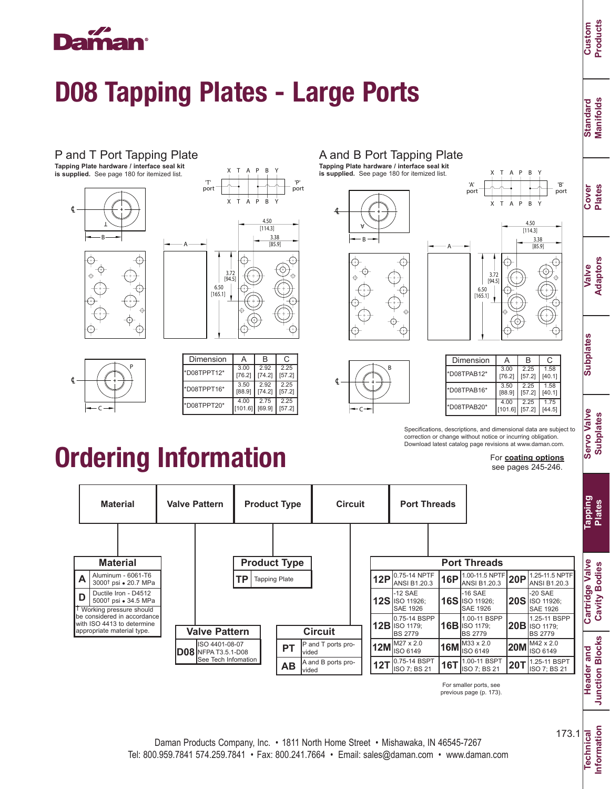## ama

### D08 Tapping Plates - Large Ports

P and T Port Tapping Plate

**Tapping Plate hardware / interface seal kit is supplied.** See page 180 for itemized list.





A

Ordering Information

T A P B

X Y



#### A and B Port Tapping Plate **Tapping Plate hardware / interface seal kit**

**is supplied.** See page 180 for itemized list.





T A P B  $\Gamma_{\text{port}}^{\text{A}'}$  port  $\Gamma_{\text{port}}$ 

X Y





Specifications, descriptions, and dimensional data are subject to correction or change without notice or incurring obligation. Download latest catalog page revisions at www.daman.com.

#### For **coating options**

see pages 245-246.



For smaller ports, see previous page (p. 173).



# [165.1]

P ℄ C

| Dimension   | А      | в      | C      |
|-------------|--------|--------|--------|
| *D08TPPT12* | 3.00   | 2.92   | 2.25   |
|             | [76.2] | [74.2] | [57.2] |
| *D08TPPT16* | 3.50   | 2.92   | 2.25   |
|             | [88.9] | [74.2] | [57.2] |
| *D08TPPT20* | 4.00   | 2.75   | 2.25   |
|             | 101.61 | [69.9] | [57.2] |

Information 173.1

**Information**

**Standard Manifolds**

**Standard**<br>Manifolds

**Cover Plates**

**Valve Adaptors**

**Subplates**

**Subplates** 

**Servo Valve Subplates**

**Servo Valve Subplates** 

**Tapping Plates**

**Cartridge Valve Cavity Bodies**

Cartridge Valve **Cavity Bodies** 

**Header and Junction Blocks**

**Junction Blocks** Header and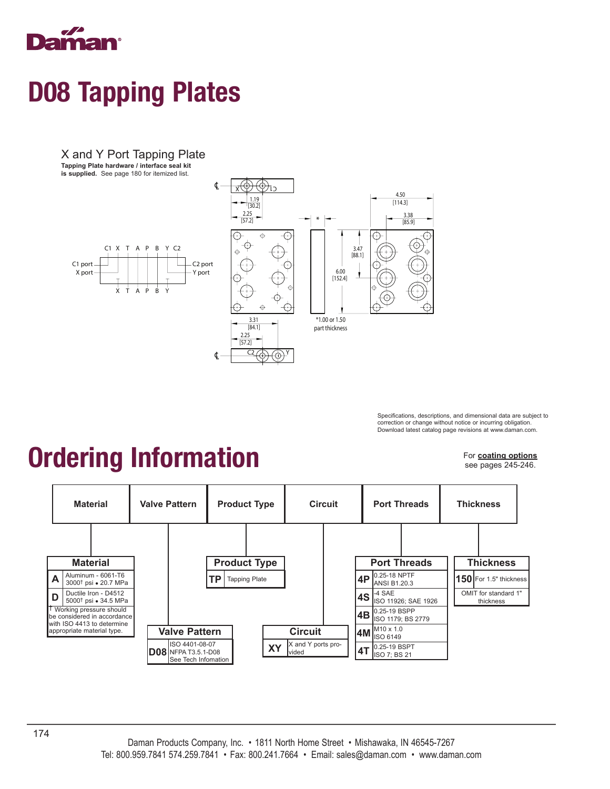

X and Y Port Tapping Plate

**Tapping Plate hardware / interface seal kit is supplied.** See page 180 for itemized list.



Specifications, descriptions, and dimensional data are subject to correction or change without notice or incurring obligation. Download latest catalog page revisions at www.daman.com.

# Ordering Information

For **coating options** see pages 245-246.

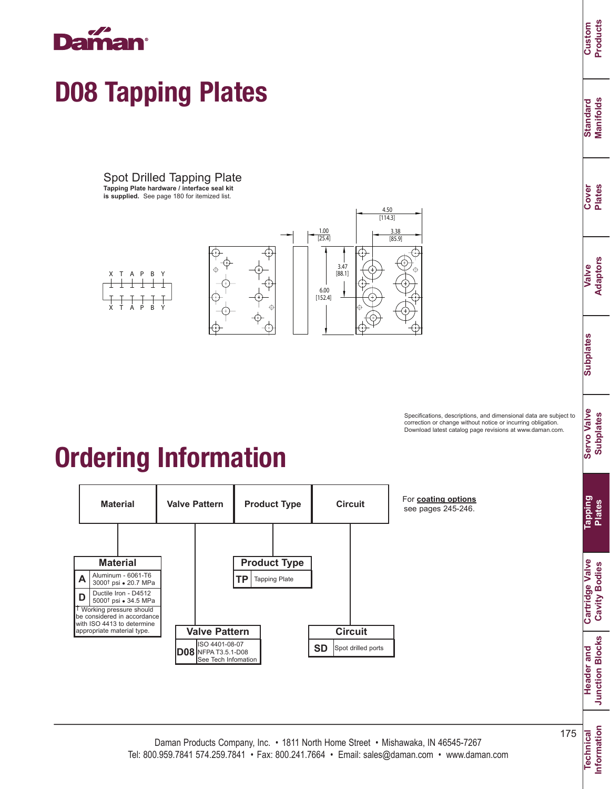

Spot Drilled Tapping Plate **Tapping Plate hardware / interface seal kit** 

**is supplied.** See page 180 for itemized list.



Specifications, descriptions, and dimensional data are subject to correction or change without notice or incurring obligation. Download latest catalog page revisions at www.daman.com.





For **coating options** see pages 245-246.

**Information**

**Header and Junction Blocks**

**Junction Blocks** Header and